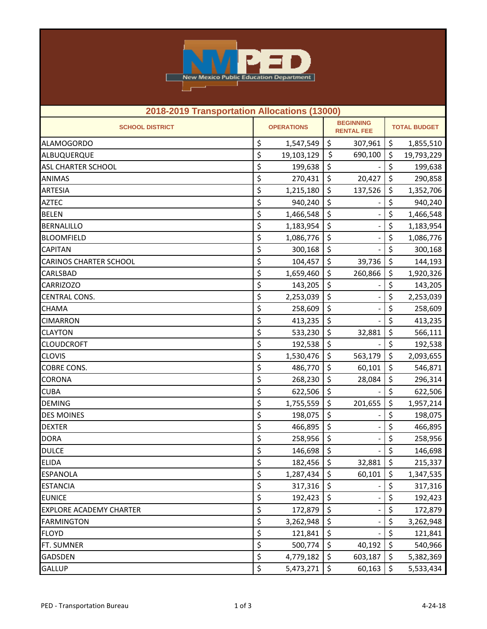

| 2018-2019 Transportation Allocations (13000) |    |                   |                                       |                          |                      |            |  |
|----------------------------------------------|----|-------------------|---------------------------------------|--------------------------|----------------------|------------|--|
| <b>SCHOOL DISTRICT</b>                       |    | <b>OPERATIONS</b> | <b>BEGINNING</b><br><b>RENTAL FEE</b> |                          | <b>TOTAL BUDGET</b>  |            |  |
| <b>ALAMOGORDO</b>                            | \$ | 1,547,549         | \$                                    | 307,961                  | \$                   | 1,855,510  |  |
| ALBUQUERQUE                                  | \$ | 19,103,129        | \$                                    | 690,100                  | \$                   | 19,793,229 |  |
| <b>ASL CHARTER SCHOOL</b>                    | \$ | 199,638           | \$                                    |                          | \$                   | 199,638    |  |
| <b>ANIMAS</b>                                | \$ | 270,431           | \$                                    | 20,427                   | \$                   | 290,858    |  |
| <b>ARTESIA</b>                               | \$ | 1,215,180         | \$                                    | 137,526                  | \$                   | 1,352,706  |  |
| <b>AZTEC</b>                                 | \$ | 940,240           | \$                                    |                          | \$                   | 940,240    |  |
| <b>BELEN</b>                                 | \$ | 1,466,548         | \$                                    |                          | \$                   | 1,466,548  |  |
| <b>BERNALILLO</b>                            | \$ | 1,183,954         | \$                                    |                          | \$                   | 1,183,954  |  |
| <b>BLOOMFIELD</b>                            | \$ | 1,086,776         | \$                                    |                          | \$                   | 1,086,776  |  |
| <b>CAPITAN</b>                               | \$ | 300,168           | \$                                    |                          | \$                   | 300,168    |  |
| <b>CARINOS CHARTER SCHOOL</b>                | \$ | 104,457           | \$                                    | 39,736                   | \$                   | 144,193    |  |
| <b>CARLSBAD</b>                              | \$ | 1,659,460         | \$                                    | 260,866                  | \$                   | 1,920,326  |  |
| <b>CARRIZOZO</b>                             | \$ | 143,205           | \$                                    |                          | \$                   | 143,205    |  |
| <b>CENTRAL CONS.</b>                         | \$ | 2,253,039         | \$                                    |                          | \$                   | 2,253,039  |  |
| <b>CHAMA</b>                                 | \$ | 258,609           | \$                                    |                          | \$                   | 258,609    |  |
| <b>CIMARRON</b>                              | \$ | 413,235           | \$                                    |                          | \$                   | 413,235    |  |
| <b>CLAYTON</b>                               | \$ | 533,230           | \$                                    | 32,881                   | \$                   | 566,111    |  |
| <b>CLOUDCROFT</b>                            | \$ | 192,538           | \$                                    |                          | \$                   | 192,538    |  |
| <b>CLOVIS</b>                                | \$ | 1,530,476         | \$                                    | 563,179                  | \$                   | 2,093,655  |  |
| COBRE CONS.                                  | \$ | 486,770           | \$                                    | 60,101                   | \$                   | 546,871    |  |
| <b>CORONA</b>                                | \$ | 268,230           | \$                                    | 28,084                   | \$                   | 296,314    |  |
| <b>CUBA</b>                                  | \$ | 622,506           | \$                                    |                          | \$                   | 622,506    |  |
| <b>DEMING</b>                                | \$ | 1,755,559         | \$                                    | 201,655                  | \$                   | 1,957,214  |  |
| <b>DES MOINES</b>                            | \$ | 198,075           | \$                                    |                          | \$                   | 198,075    |  |
| <b>DEXTER</b>                                | \$ | 466,895           | \$                                    |                          | \$                   | 466,895    |  |
| <b>DORA</b>                                  | \$ | 258,956           | \$                                    |                          | \$                   | 258,956    |  |
| <b>DULCE</b>                                 | \$ | 146,698           | \$                                    |                          | \$                   | 146,698    |  |
| <b>ELIDA</b>                                 | \$ | $182,456$ \$      |                                       | 32,881                   | \$                   | 215,337    |  |
| <b>ESPANOLA</b>                              | \$ | 1,287,434         | $\zeta$                               | 60,101                   | \$                   | 1,347,535  |  |
| <b>ESTANCIA</b>                              | \$ | 317,316           | \$                                    |                          | \$                   | 317,316    |  |
| <b>EUNICE</b>                                | \$ | 192,423           | \$                                    |                          | $\zeta$              | 192,423    |  |
| <b>EXPLORE ACADEMY CHARTER</b>               | \$ | 172,879           | \$                                    |                          | $\boldsymbol{\zeta}$ | 172,879    |  |
| <b>FARMINGTON</b>                            | \$ | 3,262,948         | \$                                    | $\overline{\phantom{a}}$ | \$                   | 3,262,948  |  |
| <b>FLOYD</b>                                 | \$ | 121,841           | \$                                    |                          | $\zeta$              | 121,841    |  |
| FT. SUMNER                                   | \$ | 500,774           | $\zeta$                               | 40,192                   | \$                   | 540,966    |  |
| <b>GADSDEN</b>                               | \$ | 4,779,182         | \$                                    | 603,187                  | \$                   | 5,382,369  |  |
| <b>GALLUP</b>                                | \$ | 5,473,271         | $\zeta$                               | 60,163                   | \$                   | 5,533,434  |  |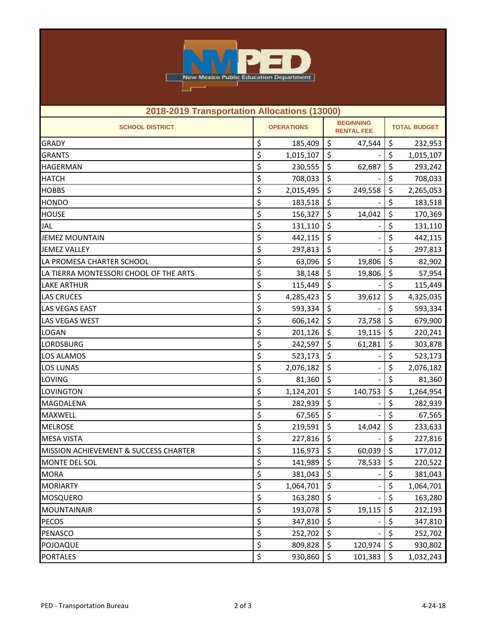

| 2018-2019 Transportation Allocations (13000) |    |                                                            |    |                     |                        |           |  |
|----------------------------------------------|----|------------------------------------------------------------|----|---------------------|------------------------|-----------|--|
| <b>SCHOOL DISTRICT</b>                       |    | <b>BEGINNING</b><br><b>OPERATIONS</b><br><b>RENTAL FEE</b> |    | <b>TOTAL BUDGET</b> |                        |           |  |
| <b>GRADY</b>                                 | \$ | 185,409                                                    | \$ | 47,544              | \$                     | 232,953   |  |
| <b>GRANTS</b>                                | \$ | 1,015,107                                                  | \$ |                     | \$                     | 1,015,107 |  |
| <b>HAGERMAN</b>                              | \$ | 230,555                                                    | \$ | 62,687              | \$                     | 293,242   |  |
| <b>HATCH</b>                                 | \$ | 708,033                                                    | \$ |                     | \$                     | 708,033   |  |
| <b>HOBBS</b>                                 | \$ | 2,015,495                                                  | \$ | 249,558             | \$                     | 2,265,053 |  |
| <b>HONDO</b>                                 | \$ | 183,518                                                    | \$ |                     | \$                     | 183,518   |  |
| <b>HOUSE</b>                                 | \$ | 156,327                                                    | \$ | 14,042              | \$                     | 170,369   |  |
| <b>JAL</b>                                   | \$ | 131,110                                                    | \$ |                     | \$                     | 131,110   |  |
| <b>JEMEZ MOUNTAIN</b>                        | \$ | 442,115                                                    | \$ |                     | \$                     | 442,115   |  |
| <b>JEMEZ VALLEY</b>                          | \$ | 297,813                                                    | \$ |                     | \$                     | 297,813   |  |
| LA PROMESA CHARTER SCHOOL                    | \$ | 63,096                                                     | \$ | 19,806              | \$                     | 82,902    |  |
| LA TIERRA MONTESSORI CHOOL OF THE ARTS       | \$ | 38,148                                                     | \$ | 19,806              | \$                     | 57,954    |  |
| <b>LAKE ARTHUR</b>                           | \$ | 115,449                                                    | \$ |                     | \$                     | 115,449   |  |
| <b>LAS CRUCES</b>                            | \$ | 4,285,423                                                  | \$ | 39,612              | \$                     | 4,325,035 |  |
| <b>LAS VEGAS EAST</b>                        | \$ | 593,334                                                    | \$ |                     | \$                     | 593,334   |  |
| <b>LAS VEGAS WEST</b>                        | \$ | 606,142                                                    | \$ | 73,758              | \$                     | 679,900   |  |
| <b>LOGAN</b>                                 | \$ | 201,126                                                    | \$ | 19,115              | \$                     | 220,241   |  |
| <b>LORDSBURG</b>                             | \$ | 242,597                                                    | \$ | 61,281              | \$                     | 303,878   |  |
| <b>LOS ALAMOS</b>                            | \$ | 523,173                                                    | \$ |                     | \$                     | 523,173   |  |
| <b>LOS LUNAS</b>                             | \$ | 2,076,182                                                  | \$ |                     | \$                     | 2,076,182 |  |
| <b>LOVING</b>                                | \$ | 81,360                                                     | \$ |                     | \$                     | 81,360    |  |
| LOVINGTON                                    | \$ | 1,124,201                                                  | \$ | 140,753             | \$                     | 1,264,954 |  |
| <b>MAGDALENA</b>                             | \$ | 282,939                                                    | \$ |                     | \$                     | 282,939   |  |
| <b>MAXWELL</b>                               | \$ | 67,565                                                     | \$ |                     | \$                     | 67,565    |  |
| <b>MELROSE</b>                               | \$ | 219,591                                                    | \$ | 14,042              | \$                     | 233,633   |  |
| <b>MESA VISTA</b>                            | \$ | 227,816                                                    | \$ |                     | \$                     | 227,816   |  |
| MISSION ACHIEVEMENT & SUCCESS CHARTER        | \$ | 116,973                                                    | \$ | 60,039              | \$                     | 177,012   |  |
| MONTE DEL SOL                                | \$ | 141,989 \$                                                 |    | 78,533 \$           |                        | 220,522   |  |
| <b>MORA</b>                                  | \$ | 381,043                                                    | \$ |                     | \$                     | 381,043   |  |
| <b>MORIARTY</b>                              | \$ | 1,064,701                                                  | \$ | $\overline{a}$      | $\overline{\varsigma}$ | 1,064,701 |  |
| <b>MOSQUERO</b>                              | \$ | 163,280                                                    | \$ |                     | \$                     | 163,280   |  |
| <b>MOUNTAINAIR</b>                           | \$ | 193,078                                                    | \$ | 19,115              | \$                     | 212,193   |  |
| <b>PECOS</b>                                 | \$ | 347,810                                                    | \$ |                     | \$                     | 347,810   |  |
| PENASCO                                      | \$ | 252,702                                                    | \$ |                     | \$                     | 252,702   |  |
| POJOAQUE                                     | \$ | 809,828                                                    | \$ | 120,974             | \$                     | 930,802   |  |
| <b>PORTALES</b>                              | \$ | 930,860                                                    | \$ | 101,383             | $\zeta$                | 1,032,243 |  |